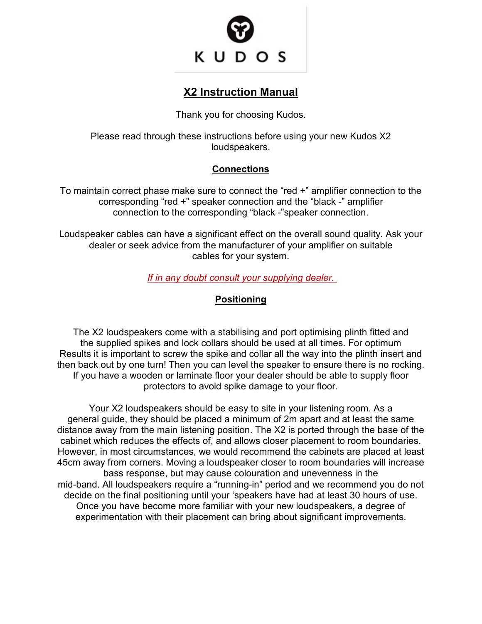

# **X2 Instruction Manual**

Thank you for choosing Kudos.

Please read through these instructions before using your new Kudos X2 loudspeakers.

# **Connections**

To maintain correct phase make sure to connect the "red +" amplifier connection to the corresponding "red +" speaker connection and the "black -" amplifier connection to the corresponding "black -"speaker connection.

Loudspeaker cables can have a significant effect on the overall sound quality. Ask your dealer or seek advice from the manufacturer of your amplifier on suitable cables for your system.

## *If in any doubt consult your supplying dealer.*

# **Positioning**

The X2 loudspeakers come with a stabilising and port optimising plinth fitted and the supplied spikes and lock collars should be used at all times. For optimum Results it is important to screw the spike and collar all the way into the plinth insert and then back out by one turn! Then you can level the speaker to ensure there is no rocking. If you have a wooden or laminate floor your dealer should be able to supply floor protectors to avoid spike damage to your floor.

Your X2 loudspeakers should be easy to site in your listening room. As a general guide, they should be placed a minimum of 2m apart and at least the same distance away from the main listening position. The X2 is ported through the base of the cabinet which reduces the effects of, and allows closer placement to room boundaries. However, in most circumstances, we would recommend the cabinets are placed at least 45cm away from corners. Moving a loudspeaker closer to room boundaries will increase bass response, but may cause colouration and unevenness in the mid-band. All loudspeakers require a "running-in" period and we recommend you do not decide on the final positioning until your 'speakers have had at least 30 hours of use. Once you have become more familiar with your new loudspeakers, a degree of experimentation with their placement can bring about significant improvements.